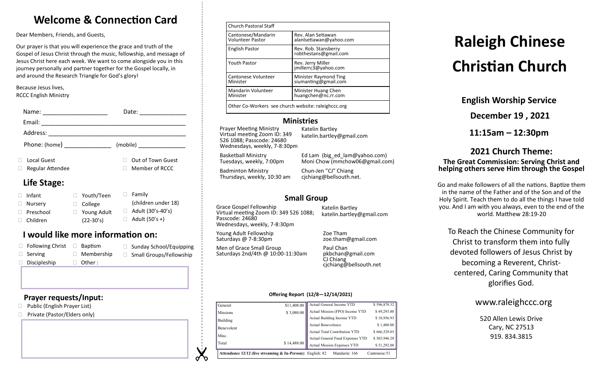# **Welcome & Connection Card**

Dear Members, Friends, and Guests,

Our prayer is that you will experience the grace and truth of the Gospel of Jesus Christ through the music, fellowship, and message of Jesus Christ here each week. We want to come alongside you in this journey personally and partner together for the Gospel locally, in and around the Research Triangle for God's glory!

Because Jesus lives, RCCC English Ministry

| Name:<br><u> 1980 - Jan Samuel Barbara, margaret e</u>                                                                                                                                                                                                                                                                                                                                                                                                          | Date:<br>the control of the control of the |
|-----------------------------------------------------------------------------------------------------------------------------------------------------------------------------------------------------------------------------------------------------------------------------------------------------------------------------------------------------------------------------------------------------------------------------------------------------------------|--------------------------------------------|
| Email:<br>$\begin{tabular}{ccccc} \multicolumn{2}{c }{\textbf{1} & \multicolumn{2}{c }{\textbf{2} & \multicolumn{2}{c }{\textbf{3} & \multicolumn{2}{c }{\textbf{4} & \multicolumn{2}{c }{\textbf{5} & \multicolumn{2}{c }{\textbf{6} & \multicolumn{2}{c }{\textbf{6} & \multicolumn{2}{c }{\textbf{6} & \multicolumn{2}{c }{\textbf{6} & \multicolumn{2}{c }{\textbf{6} & \multicolumn{2}{c }{\textbf{6} & \multicolumn{2}{c }{\textbf{6} & \multicolumn{2}{$ |                                            |
|                                                                                                                                                                                                                                                                                                                                                                                                                                                                 |                                            |
| Phone: (home) _______________                                                                                                                                                                                                                                                                                                                                                                                                                                   |                                            |
| <b>Local Guest</b><br>Regular Attendee                                                                                                                                                                                                                                                                                                                                                                                                                          | Out of Town Guest<br>Member of RCCC        |
| Life Stage:                                                                                                                                                                                                                                                                                                                                                                                                                                                     |                                            |

#### □ Infant □ Nurserv □ Preschool Children □ Family (children under 18)  $\Box$  Adult (30's-40's)  $\Box$  Adult (50's +) Youth/Teen College □ Young Adult (22-30's)

# **I would like more information on:**

| $\Box$ Following Christ | Baptism           | □ Sunday School/Equipping      |
|-------------------------|-------------------|--------------------------------|
| $\Box$ Serving          | $\Box$ Membership | $\Box$ Small Groups/Fellowship |
| $\Box$ Discipleship     | $\Box$ Other:     |                                |

### **Prayer requests/Input:**

- □ Public (English Prayer List)
- □ Private (Pastor/Elders only)

| <b>Church Pastoral Staff</b>                        |                                               |  |
|-----------------------------------------------------|-----------------------------------------------|--|
| Cantonese/Mandarin<br><b>Volunteer Pastor</b>       | Rev. Alan Setiawan<br>alanlsetiawan@yahoo.com |  |
| <b>English Pastor</b>                               | Rev. Rob. Stansberry<br>robthestans@gmail.com |  |
| <b>Youth Pastor</b>                                 | Rev. Jerry Miller<br>jmillerrc3@yahoo.com     |  |
| Cantonese Volunteer<br>Minister                     | Minister Raymond Ting<br>siumanting@gmail.com |  |
| Mandarin Volunteer<br>Minister                      | Minister Huang Chen<br>huangchen@nc.rr.com    |  |
| Other Co-Workers see church website: raleighccc.org |                                               |  |

### **Ministries**

Prayer Meeting Ministry Virtual meeting Zoom ID: 349 526 1088; Passcode: 24680 Wednesdays, weekly, 7-8:30pm

Katelin Bartley katelin.bartley@gmail.com

Basketball Ministry Tuesdays, weekly, 7:00pm

Badminton Ministry Thursdays, weekly, 10:30 am

Moni Chow (mmchow06@gmail.com) Chun-Jen "CJ" Chiang cjchiang@bellsouth.net.

Ed Lam (big\_ed\_lam@yahoo.com)

# **Small Group**

Grace Gospel Fellowship Virtual meeting Zoom ID: 349 526 1088; Passcode: 24680 Wednesdays, weekly, 7-8:30pm

Young Adult Fellowship Saturdays @ 7-8:30pm

Men of Grace Small Group Saturdays 2nd/4th @ 10:00-11:30am

Katelin Bartley katelin.bartley@gmail.com

Zoe Tham zoe.tham@gmail.com

Paul Chan pkbchan@gmail.com CJ Chiang cjchiang@bellsouth.net

#### **Offering Report (12/8—12/14/2021)**

| General         | \$11,408.00                                                           | Actual General Income YTD          | \$596,878.32  |
|-----------------|-----------------------------------------------------------------------|------------------------------------|---------------|
| <b>Missions</b> | \$3,080.00                                                            | Actual Mission (FPO) Income YTD    | \$49,293.80   |
| Building        |                                                                       | Actual Building Income YTD         | \$18,956.93   |
| Benevolent      |                                                                       | <b>Actual Benevolence</b>          | \$1,400.00    |
|                 |                                                                       | Actual Total Contribution YTD      | \$666,529.05  |
| Misc.           |                                                                       | Actual General Fund Expenses YTD   | \$565,946.28  |
| Total           | \$14,488.00                                                           | <b>Actual Mission Expenses YTD</b> | \$51,292.00   |
|                 | <b>Attendance 12/12 (live streaming &amp; In-Person):</b> English: 82 | Mandarin: 166                      | Cantonese: 51 |

# **Raleigh Chinese Christian Church**

**English Worship Service**

**December 19 , 2021**

**11:15am – 12:30pm**

### **2021 Church Theme: The Great Commission: Serving Christ and helping others serve Him through the Gospel**

Go and make followers of all the nations. Baptize them in the name of the Father and of the Son and of the Holy Spirit. Teach them to do all the things I have told you. And I am with you always, even to the end of the world. Matthew 28:19-20

To Reach the Chinese Community for Christ to transform them into fully devoted followers of Jesus Christ by becoming a Reverent, Christcentered, Caring Community that glorifies God.

# www.raleighccc.org

520 Allen Lewis Drive Cary, NC 27513 919.834.3815